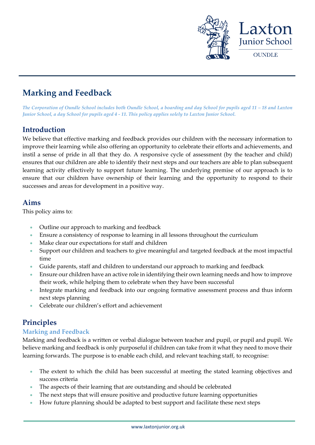

## **Marking and Feedback**

*The Corporation of Oundle School includes both Oundle School, a boarding and day School for pupils aged 11 – 18 and Laxton Junior School, a day School for pupils aged 4 - 11. This policy applies solely to Laxton Junior School.*

## **Introduction**

We believe that effective marking and feedback provides our children with the necessary information to improve their learning while also offering an opportunity to celebrate their efforts and achievements, and instil a sense of pride in all that they do. A responsive cycle of assessment (by the teacher and child) ensures that our children are able to identify their next steps and our teachers are able to plan subsequent learning activity effectively to support future learning. The underlying premise of our approach is to ensure that our children have ownership of their learning and the opportunity to respond to their successes and areas for development in a positive way.

## **Aims**

This policy aims to:

- Outline our approach to marking and feedback
- Ensure a consistency of response to learning in all lessons throughout the curriculum
- Make clear our expectations for staff and children
- Support our children and teachers to give meaningful and targeted feedback at the most impactful time
- Guide parents, staff and children to understand our approach to marking and feedback
- Ensure our children have an active role in identifying their own learning needs and how to improve their work, while helping them to celebrate when they have been successful
- Integrate marking and feedback into our ongoing formative assessment process and thus inform next steps planning
- Celebrate our children's effort and achievement

## **Principles**

#### **Marking and Feedback**

Marking and feedback is a written or verbal dialogue between teacher and pupil, or pupil and pupil. We believe marking and feedback is only purposeful if children can take from it what they need to move their learning forwards. The purpose is to enable each child, and relevant teaching staff, to recognise:

- The extent to which the child has been successful at meeting the stated learning objectives and success criteria
- The aspects of their learning that are outstanding and should be celebrated
- The next steps that will ensure positive and productive future learning opportunities
- How future planning should be adapted to best support and facilitate these next steps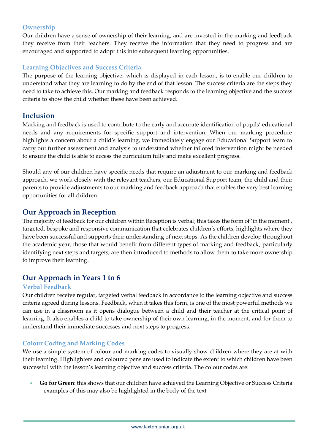#### **Ownership**

Our children have a sense of ownership of their learning, and are invested in the marking and feedback they receive from their teachers. They receive the information that they need to progress and are encouraged and supported to adopt this into subsequent learning opportunities.

#### **Learning Objectives and Success Criteria**

The purpose of the learning objective, which is displayed in each lesson, is to enable our children to understand what they are learning to do by the end of that lesson. The success criteria are the steps they need to take to achieve this. Our marking and feedback responds to the learning objective and the success criteria to show the child whether these have been achieved.

## **Inclusion**

Marking and feedback is used to contribute to the early and accurate identification of pupils' educational needs and any requirements for specific support and intervention. When our marking procedure highlights a concern about a child's learning, we immediately engage our Educational Support team to carry out further assessment and analysis to understand whether tailored intervention might be needed to ensure the child is able to access the curriculum fully and make excellent progress.

Should any of our children have specific needs that require an adjustment to our marking and feedback approach, we work closely with the relevant teachers, our Educational Support team, the child and their parents to provide adjustments to our marking and feedback approach that enables the very best learning opportunities for all children.

## **Our Approach in Reception**

The majority of feedback for our children within Reception is verbal; this takes the form of 'in the moment', targeted, bespoke and responsive communication that celebrates children's efforts, highlights where they have been successful and supports their understanding of next steps. As the children develop throughout the academic year, those that would benefit from different types of marking and feedback, particularly identifying next steps and targets, are then introduced to methods to allow them to take more ownership to improve their learning.

## **Our Approach in Years 1 to 6**

#### **Verbal Feedback**

Our children receive regular, targeted verbal feedback in accordance to the learning objective and success criteria agreed during lessons. Feedback, when it takes this form, is one of the most powerful methods we can use in a classroom as it opens dialogue between a child and their teacher at the critical point of learning. It also enables a child to take ownership of their own learning, in the moment, and for them to understand their immediate successes and next steps to progress.

#### **Colour Coding and Marking Codes**

We use a simple system of colour and marking codes to visually show children where they are at with their learning. Highlighters and coloured pens are used to indicate the extent to which children have been successful with the lesson's learning objective and success criteria. The colour codes are:

• **Go for Green**: this shows that our children have achieved the Learning Objective or Success Criteria – examples of this may also be highlighted in the body of the text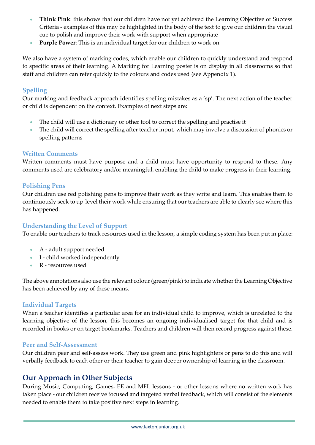- **Think Pink**: this shows that our children have not yet achieved the Learning Objective or Success Criteria - examples of this may be highlighted in the body of the text to give our children the visual cue to polish and improve their work with support when appropriate
- **Purple Power**: This is an individual target for our children to work on

We also have a system of marking codes, which enable our children to quickly understand and respond to specific areas of their learning. A Marking for Learning poster is on display in all classrooms so that staff and children can refer quickly to the colours and codes used (see Appendix 1).

#### **Spelling**

Our marking and feedback approach identifies spelling mistakes as a 'sp'. The next action of the teacher or child is dependent on the context. Examples of next steps are:

- The child will use a dictionary or other tool to correct the spelling and practise it
- The child will correct the spelling after teacher input, which may involve a discussion of phonics or spelling patterns

#### **Written Comments**

Written comments must have purpose and a child must have opportunity to respond to these. Any comments used are celebratory and/or meaningful, enabling the child to make progress in their learning.

#### **Polishing Pens**

Our children use red polishing pens to improve their work as they write and learn. This enables them to continuously seek to up-level their work while ensuring that our teachers are able to clearly see where this has happened.

#### **Understanding the Level of Support**

To enable our teachers to track resources used in the lesson, a simple coding system has been put in place:

- A adult support needed
- I child worked independently
- R resources used

The above annotations also use the relevant colour (green/pink) to indicate whether the Learning Objective has been achieved by any of these means.

#### **Individual Targets**

When a teacher identifies a particular area for an individual child to improve, which is unrelated to the learning objective of the lesson, this becomes an ongoing individualised target for that child and is recorded in books or on target bookmarks. Teachers and children will then record progress against these.

#### **Peer and Self-Assessment**

Our children peer and self-assess work. They use green and pink highlighters or pens to do this and will verbally feedback to each other or their teacher to gain deeper ownership of learning in the classroom.

#### **Our Approach in Other Subjects**

During Music, Computing, Games, PE and MFL lessons - or other lessons where no written work has taken place - our children receive focused and targeted verbal feedback, which will consist of the elements needed to enable them to take positive next steps in learning.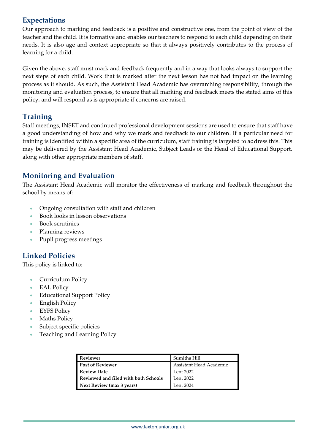## **Expectations**

Our approach to marking and feedback is a positive and constructive one, from the point of view of the teacher and the child. It is formative and enables our teachers to respond to each child depending on their needs. It is also age and context appropriate so that it always positively contributes to the process of learning for a child.

Given the above, staff must mark and feedback frequently and in a way that looks always to support the next steps of each child. Work that is marked after the next lesson has not had impact on the learning process as it should. As such, the Assistant Head Academic has overarching responsibility, through the monitoring and evaluation process, to ensure that all marking and feedback meets the stated aims of this policy, and will respond as is appropriate if concerns are raised.

## **Training**

Staff meetings, INSET and continued professional development sessions are used to ensure that staff have a good understanding of how and why we mark and feedback to our children. If a particular need for training is identified within a specific area of the curriculum, staff training is targeted to address this. This may be delivered by the Assistant Head Academic, Subject Leads or the Head of Educational Support, along with other appropriate members of staff.

## **Monitoring and Evaluation**

The Assistant Head Academic will monitor the effectiveness of marking and feedback throughout the school by means of:

- Ongoing consultation with staff and children
- Book looks in lesson observations
- Book scrutinies
- Planning reviews
- Pupil progress meetings

## **Linked Policies**

This policy is linked to:

- Curriculum Policy
- EAL Policy
- Educational Support Policy
- English Policy
- EYFS Policy
- Maths Policy
- Subject specific policies
- Teaching and Learning Policy

| Reviewer                             | Sumitha Hill            |
|--------------------------------------|-------------------------|
| <b>Post of Reviewer</b>              | Assistant Head Academic |
| <b>Review Date</b>                   | Lent 2022               |
| Reviewed and filed with both Schools | Lent 2022               |
| Next Review (max 3 years)            | Lent 2024               |